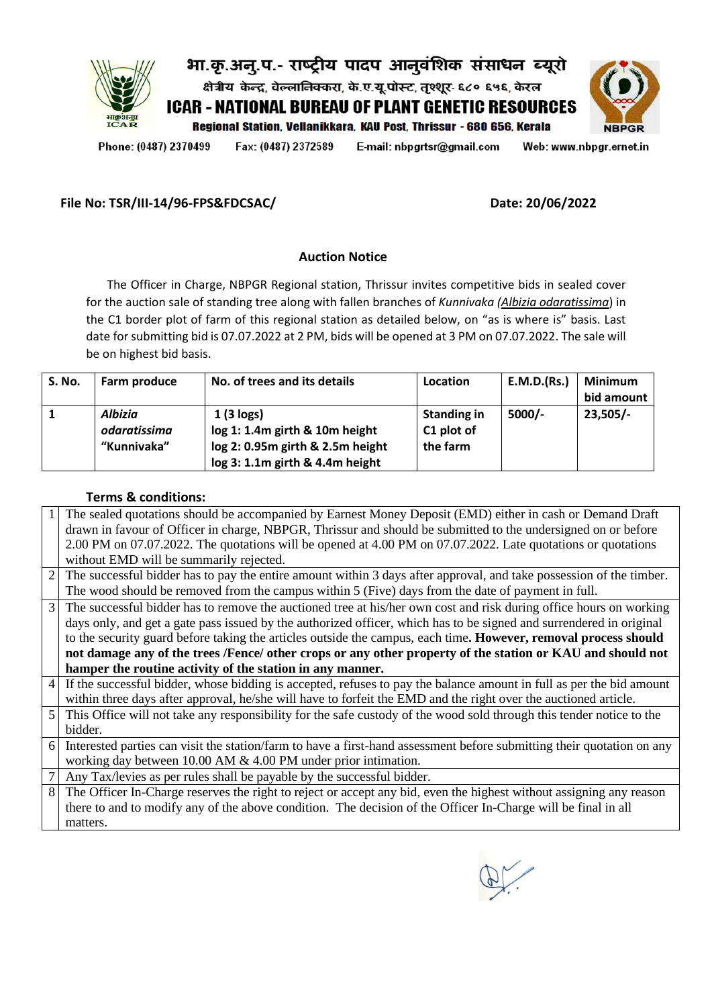

Phone: (0487) 2370499

Fax: (0487) 2372589

E-mail: nbpgrtsr@gmail.com

Web: www.nbpgr.ernet.in

## **File No: TSR/III-14/96-FPS&FDCSAC/ Date: 20/06/2022**

## **Auction Notice**

 The Officer in Charge, NBPGR Regional station, Thrissur invites competitive bids in sealed cover for the auction sale of standing tree along with fallen branches of *Kunnivaka (Albizia odaratissima*) in the C1 border plot of farm of this regional station as detailed below, on "as is where is" basis. Last date for submitting bid is 07.07.2022 at 2 PM, bids will be opened at 3 PM on 07.07.2022. The sale will be on highest bid basis.

| S. No. | Farm produce                                  | No. of trees and its details                                                                                                 | <b>Location</b>                              | E.M.D.(Rs.) | <b>Minimum</b><br>bid amount |
|--------|-----------------------------------------------|------------------------------------------------------------------------------------------------------------------------------|----------------------------------------------|-------------|------------------------------|
|        | <b>Albizia</b><br>odaratissima<br>"Kunnivaka" | $1(3 \text{ logs})$<br>log 1: 1.4m girth & 10m height<br>log 2: 0.95m girth & 2.5m height<br>log 3: 1.1m girth & 4.4m height | <b>Standing in</b><br>C1 plot of<br>the farm | $5000/-$    | 23,505/-                     |

## **Terms & conditions:**

|                | The sealed quotations should be accompanied by Earnest Money Deposit (EMD) either in cash or Demand Draft              |
|----------------|------------------------------------------------------------------------------------------------------------------------|
|                | drawn in favour of Officer in charge, NBPGR, Thrissur and should be submitted to the undersigned on or before          |
|                | 2.00 PM on 07.07.2022. The quotations will be opened at 4.00 PM on 07.07.2022. Late quotations or quotations           |
|                | without EMD will be summarily rejected.                                                                                |
| $\overline{2}$ | The successful bidder has to pay the entire amount within 3 days after approval, and take possession of the timber.    |
|                | The wood should be removed from the campus within 5 (Five) days from the date of payment in full.                      |
| 3              | The successful bidder has to remove the auctioned tree at his/her own cost and risk during office hours on working     |
|                | days only, and get a gate pass issued by the authorized officer, which has to be signed and surrendered in original    |
|                | to the security guard before taking the articles outside the campus, each time. However, removal process should        |
|                | not damage any of the trees /Fence/ other crops or any other property of the station or KAU and should not             |
|                | hamper the routine activity of the station in any manner.                                                              |
| 4              | If the successful bidder, whose bidding is accepted, refuses to pay the balance amount in full as per the bid amount   |
|                | within three days after approval, he/she will have to forfeit the EMD and the right over the auctioned article.        |
| 5              | This Office will not take any responsibility for the safe custody of the wood sold through this tender notice to the   |
|                | bidder.                                                                                                                |
| 6              | Interested parties can visit the station/farm to have a first-hand assessment before submitting their quotation on any |
|                | working day between $10.00$ AM $\&$ 4.00 PM under prior intimation.                                                    |
|                | Any Tax/levies as per rules shall be payable by the successful bidder.                                                 |
| 8              | The Officer In-Charge reserves the right to reject or accept any bid, even the highest without assigning any reason    |
|                | there to and to modify any of the above condition. The decision of the Officer In-Charge will be final in all          |
|                | matters.                                                                                                               |
|                |                                                                                                                        |